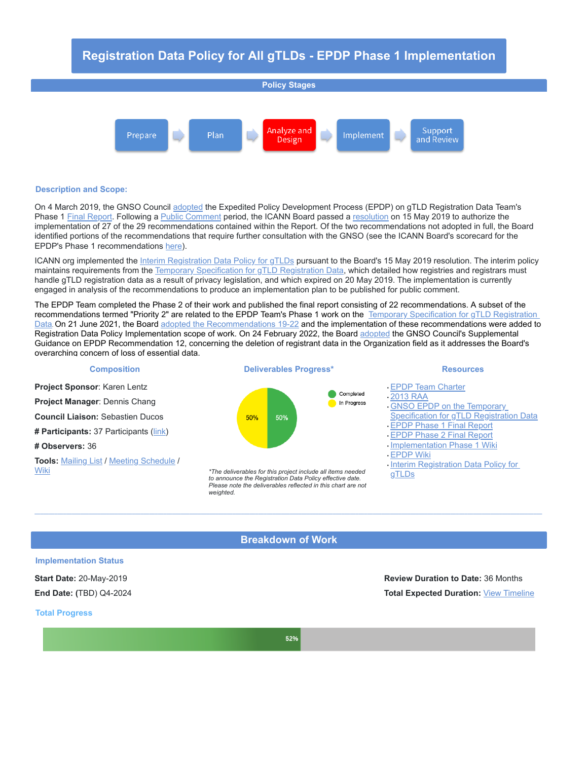# **Registration Data Policy for All gTLDs - EPDP Phase 1 Implementation**



#### **Description and Scope:**

On 4 March 2019, the GNSO Council [adopted](https://www.icann.org/news/announcement-2019-03-04-en) the Expedited Policy Development Process (EPDP) on gTLD Registration Data Team's Phase 1 Final [Report.](https://gnso.icann.org/sites/default/files/file/field-file-attach/epdp-gtld-registration-data-specs-final-20feb19-en.pdf) Following a Public [Comment](https://www.icann.org/public-comments/epdp-recs-2019-03-04-en) period, the ICANN Board passed a [resolution](https://www.icann.org/resources/board-material/resolutions-2019-05-15-en#1.b) on 15 May 2019 to authorize the implementation of 27 of the 29 recommendations contained within the Report. Of the two recommendations not adopted in full, the Board identified portions of the recommendations that require further consultation with the GNSO (see the ICANN Board's scorecard for the EPDP's Phase 1 recommendations [here\)](https://www.icann.org/en/system/files/files/epdp-scorecard-15may19-en.pdf).

ICANN org implemented the Interim [Registration](https://www.icann.org/resources/pages/interim-registration-data-policy-en) Data Policy for gTLDs pursuant to the Board's 15 May 2019 resolution. The interim policy maintains requirements from the Temporary [Specification](https://www.icann.org/resources/pages/gtld-registration-data-specs-en) for gTLD Registration Data, which detailed how registries and registrars must handle gTLD registration data as a result of privacy legislation, and which expired on 20 May 2019. The implementation is currently engaged in analysis of the recommendations to produce an implementation plan to be published for public comment.

The EPDP Team completed the Phase 2 of their work and published the final report consisting of 22 recommendations. A subset of the recommendations termed "Priority 2" are related to the EPDP Team's Phase 1 work on the Temporary Specification for gTLD Registration Data. On 21 June 2021, the Board adopted the [Recommendations](https://www.icann.org/resources/pages/gtld-registration-data-specs-en) 19-22 and the implementation of these recommendations were added to Registration Data Policy Implementation scope of work. On 24 February 2022, the Board [adopted](https://www.icann.org/resources/board-material/resolutions-2022-02-24-en#2.b) the GNSO Council's Supplemental Guidance on EPDP Recommendation 12, concerning the deletion of registrant data in the Organization field as it addresses the Board's overarching concern of loss of essential data.



## **Breakdown of Work**

## **Implementation Status**

**Start Date:** 20-May-2019 **Review Duration to Date:** 36 Months **End Date: (**TBD) Q4-2024 **Total Expected Duration:** View [Timeline](https://community.icann.org/display/RDPIRT/RegDataPolicy+Implementation+Resource+Documents?preview=/124847947/202703255/EPDP%20Phase%201%20Timeline%20%28Updated%208%20June%202022%29.pdf)

#### **Total Progress**